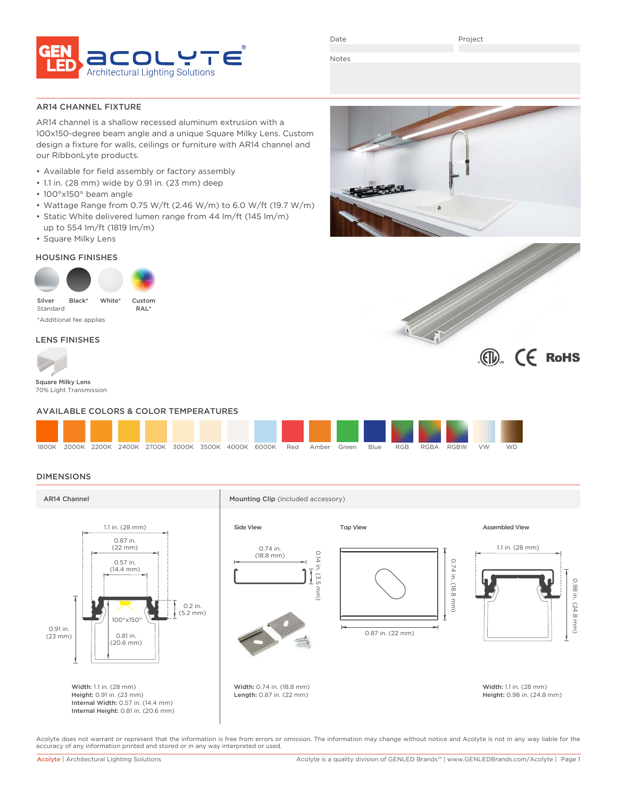

Date

Project

Notes

AR14 CHANNEL FIXTURE

AR14 channel is a shallow recessed aluminum extrusion with a 100x150-degree beam angle and a unique Square Milky Lens. Custom design a fixture for walls, ceilings or furniture with AR14 channel and our RibbonLyte products.

- Available for field assembly or factory assembly
- 1.1 in. (28 mm) wide by 0.91 in. (23 mm) deep
- 100°x150° beam angle
- Wattage Range from 0.75 W/ft (2.46 W/m) to 6.0 W/ft (19.7 W/m)
- Static White delivered lumen range from 44 lm/ft (145 lm/m) up to 554 lm/ft (1819 lm/m)
- Square Milky Lens

### HOUSING FINISHES



\*Additional fee applies

### LENS FINISHES



Square Milky Lens 70% Light Transmission

### AVAILABLE COLORS & COLOR TEMPERATURES



### DIMENSIONS



Acolyte does not warrant or represent that the information is free from errors or omission. The information may change without notice and Acolyte is not in any way liable for the accuracy of any information printed and stored or in any way interpreted or used.



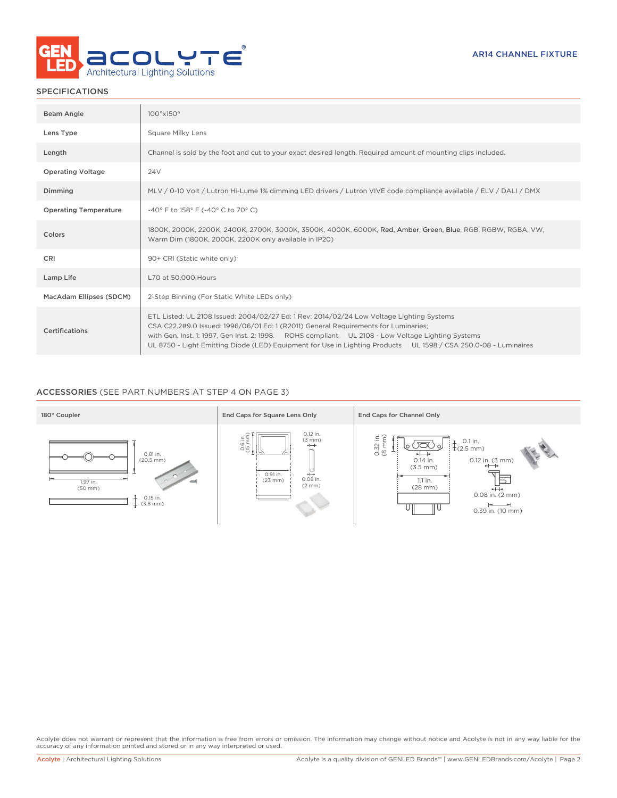

### SPECIFICATIONS

| Beam Angle                   | $100^{\circ}x150^{\circ}$                                                                                                                                                                                                                                                                                                                                                                                |
|------------------------------|----------------------------------------------------------------------------------------------------------------------------------------------------------------------------------------------------------------------------------------------------------------------------------------------------------------------------------------------------------------------------------------------------------|
| Lens Type                    | Square Milky Lens                                                                                                                                                                                                                                                                                                                                                                                        |
| Length                       | Channel is sold by the foot and cut to your exact desired length. Required amount of mounting clips included.                                                                                                                                                                                                                                                                                            |
| <b>Operating Voltage</b>     | 24V                                                                                                                                                                                                                                                                                                                                                                                                      |
| Dimming                      | MLV / 0-10 Volt / Lutron Hi-Lume 1% dimming LED drivers / Lutron VIVE code compliance available / ELV / DALI / DMX                                                                                                                                                                                                                                                                                       |
| <b>Operating Temperature</b> | -40° F to 158° F (-40° C to 70° C)                                                                                                                                                                                                                                                                                                                                                                       |
| Colors                       | 1800K, 2000K, 2200K, 2400K, 2700K, 3000K, 3500K, 4000K, 6000K, Red, Amber, Green, Blue, RGB, RGBW, RGBA, VW,<br>Warm Dim (1800K, 2000K, 2200K only available in IP20)                                                                                                                                                                                                                                    |
| CRI                          | 90+ CRI (Static white only)                                                                                                                                                                                                                                                                                                                                                                              |
| Lamp Life                    | L70 at 50,000 Hours                                                                                                                                                                                                                                                                                                                                                                                      |
| MacAdam Ellipses (SDCM)      | 2-Step Binning (For Static White LEDs only)                                                                                                                                                                                                                                                                                                                                                              |
| Certifications               | ETL Listed: UL 2108 Issued: 2004/02/27 Ed: 1 Rev: 2014/02/24 Low Voltage Lighting Systems<br>CSA C22.2#9.0 Issued: 1996/06/01 Ed: 1 (R2011) General Requirements for Luminaries;<br>with Gen. Inst. 1: 1997, Gen Inst. 2: 1998. ROHS compliant UL 2108 - Low Voltage Lighting Systems<br>UL 8750 - Light Emitting Diode (LED) Equipment for Use in Lighting Products UL 1598 / CSA 250.0-08 - Luminaires |

### ACCESSORIES (SEE PART NUMBERS AT STEP 4 ON PAGE 3)



Acolyte does not warrant or represent that the information is free from errors or omission. The information may change without notice and Acolyte is not in any way liable for the<br>accuracy of any information printed and sto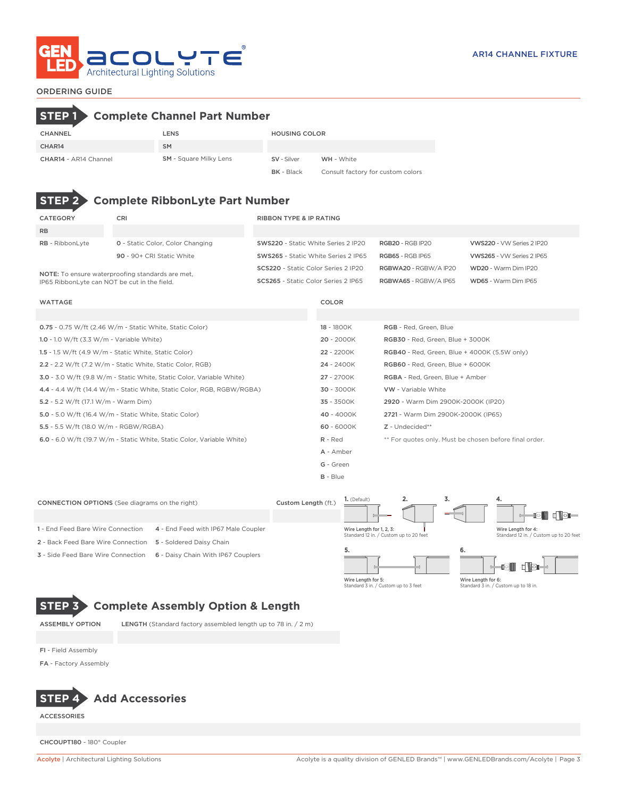

## ORDERING GUIDE

# **STEP 1 Complete Channel Part Number**

| <b>CHANNEL</b>        | LENS                          | <b>HOUSING COLOR</b> |                                   |
|-----------------------|-------------------------------|----------------------|-----------------------------------|
| CHAR14                | <b>SM</b>                     |                      |                                   |
| CHAR14 - AR14 Channel | <b>SM</b> - Square Milky Lens | SV - Silver          | WH - White                        |
|                       |                               | <b>BK</b> - Black    | Consult factory for custom colors |

# **STEP 2 Complete RibbonLyte Part Number**

| CATEGORY                                                | CRI                                     | RIBBON TYPE & IP RATING             |                         |                           |  |  |  |
|---------------------------------------------------------|-----------------------------------------|-------------------------------------|-------------------------|---------------------------|--|--|--|
| <b>RB</b>                                               |                                         |                                     |                         |                           |  |  |  |
| <b>RB</b> - RibbonLyte                                  | <b>0</b> - Static Color, Color Changing | SWS220 - Static White Series 2 IP20 | <b>RGB20 - RGB IP20</b> | VWS220 - VW Series 2 IP20 |  |  |  |
|                                                         | 90 - 90+ CRI Static White               | SWS265 - Static White Series 2 IP65 | <b>RGB65 - RGB IP65</b> | VWS265 - VW Series 2 IP65 |  |  |  |
| <b>NOTE:</b> To ensure waterproofing standards are met. |                                         | SCS220 - Static Color Series 2 IP20 | RGBWA20 - RGBW/A IP20   | WD20 - Warm Dim IP20      |  |  |  |
| IP65 RibbonLyte can NOT be cut in the field.            |                                         | SCS265 - Static Color Series 2 IP65 | RGBWA65 - RGBW/A IP65   | WD65 - Warm Dim IP65      |  |  |  |

| <b>WATTAGE</b> | <b>COLOR</b> |
|----------------|--------------|
|                |              |

| $0.75 - 0.75$ W/ft (2.46 W/m - Static White, Static Color)             | 18 - 1800K | RGB - Red, Green, Blue                                 |
|------------------------------------------------------------------------|------------|--------------------------------------------------------|
| 1.0 - 1.0 W/ft $(3.3 \text{ W/m} \cdot \text{Variable White})$         | 20 - 2000K | RGB30 - Red, Green, Blue + 3000K                       |
| 1.5 - 1.5 W/ft $(4.9 \text{ W/m}$ - Static White, Static Color)        | 22 - 2200K | <b>RGB40</b> - Red, Green, Blue + 4000K (5.5W only)    |
| 2.2 - 2.2 W/ft (7.2 W/m - Static White, Static Color, RGB)             | 24 - 2400K | RGB60 - Red, Green, Blue + 6000K                       |
| 3.0 - 3.0 W/ft (9.8 W/m - Static White, Static Color, Variable White)  | 27 - 2700K | RGBA - Red, Green, Blue + Amber                        |
| 4.4 - 4.4 W/ft (14.4 W/m - Static White, Static Color, RGB, RGBW/RGBA) | 30 - 3000K | <b>VW</b> - Variable White                             |
| 5.2 - 5.2 W/ft (17.1 W/m - Warm Dim)                                   | 35 - 3500K | 2920 - Warm Dim 2900K-2000K (IP20)                     |
| 5.0 - 5.0 W/ft (16.4 W/m - Static White, Static Color)                 | 40 - 4000K | 2721 - Warm Dim 2900K-2000K (IP65)                     |
| 5.5 - 5.5 W/ft (18.0 W/m - RGBW/RGBA)                                  | 60 - 6000K | Z - Undecided**                                        |
| 6.0 - 6.0 W/ft (19.7 W/m - Static White, Static Color, Variable White) | R - Red    | ** For quotes only. Must be chosen before final order. |
|                                                                        | A - Amber  |                                                        |
|                                                                        | G - Green  |                                                        |
|                                                                        | $B - Blue$ |                                                        |

| <b>CONNECTION OPTIONS</b> (See diagrams on the right) | Custom Length (ft.)                 | 1. (Default) | 2.                                                                 | э. | 4.                 |                                                              |
|-------------------------------------------------------|-------------------------------------|--------------|--------------------------------------------------------------------|----|--------------------|--------------------------------------------------------------|
|                                                       |                                     |              |                                                                    |    | =                  | $\blacksquare$<br>ll⊝ll                                      |
| 1 - End Feed Bare Wire Connection                     | 4 - End Feed with IP67 Male Coupler |              | Wire Length for 1, 2, 3:<br>Standard 12 in. / Custom up to 20 feet |    |                    | Wire Length for 4:<br>Standard 12 in. / Custom up to 20 feet |
| 2 - Back Feed Bare Wire Connection                    | 5 - Soldered Daisy Chain            |              |                                                                    |    |                    |                                                              |
| 3 - Side Feed Bare Wire Connection                    | 6 - Daisy Chain With IP67 Couplers  |              |                                                                    |    | 6.                 | n Nən                                                        |
|                                                       |                                     |              | Wire Length for 5:<br>Standard 3 in. / Custom up to 3 feet         |    | Wire Length for 6: | Standard 3 in. / Custom up to 18 in.                         |

# **STEP 3 Complete Assembly Option & Length**

ASSEMBLY OPTION LENGTH (Standard factory assembled length up to 78 in. / 2 m)

FI - Field Assembly

FA - Factory Assembly



ACCESSORIES

CHCOUPT180 - 180° Coupler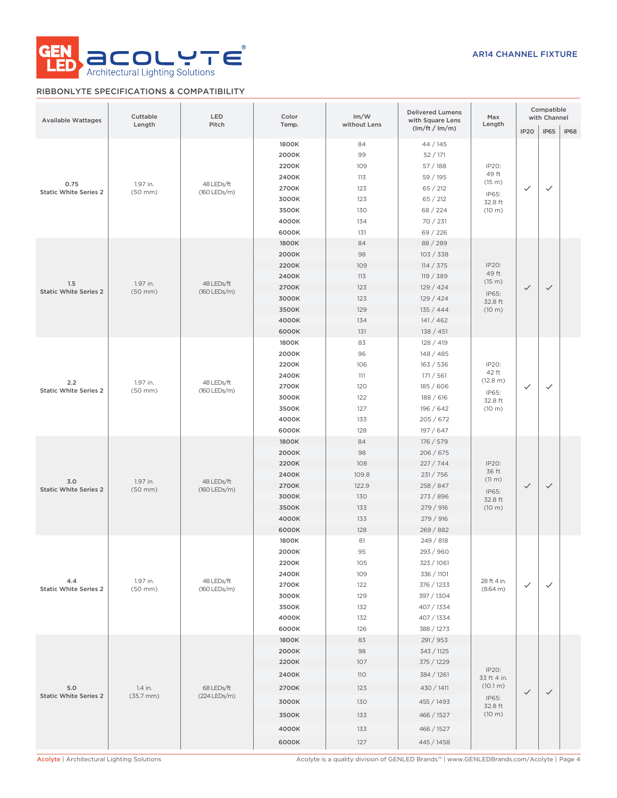

### RIBBONLYTE SPECIFICATIONS & COMPATIBILITY

| <b>Available Wattages</b>            | Cuttable<br>Length               | LED<br>Pitch               | Color<br>Temp.                                                                | Im/W<br>without Lens                                          | <b>Delivered Lumens</b><br>with Square Lens                                                                               | Max<br>Length                                                  |                  | Compatible<br>with Channel |      |
|--------------------------------------|----------------------------------|----------------------------|-------------------------------------------------------------------------------|---------------------------------------------------------------|---------------------------------------------------------------------------------------------------------------------------|----------------------------------------------------------------|------------------|----------------------------|------|
|                                      |                                  |                            |                                                                               |                                                               | $\frac{1}{m}$ (lm/ft / lm/m)                                                                                              |                                                                | IP <sub>20</sub> | <b>IP65</b>                | IP68 |
| 0.75<br><b>Static White Series 2</b> | 1.97 in.<br>$(50$ mm $)$         | 48 LEDs/ft<br>(160 LEDs/m) | 1800K<br>2000K<br>2200K<br>2400K<br>2700K<br>3000K<br>3500K<br>4000K<br>6000K | 84<br>99<br>109<br>113<br>123<br>123<br>130<br>134<br>131     | 44 / 145<br>52/171<br>57/188<br>59 / 195<br>65 / 212<br>65 / 212<br>68 / 224<br>70 / 231<br>69 / 226                      | IP20:<br>49 ft<br>(15 m)<br>IP65:<br>32.8 ft<br>(10 m)         | ✓                | $\checkmark$               |      |
| 1.5<br><b>Static White Series 2</b>  | 1.97 in.<br>$(50$ mm $)$         | 48 LEDs/ft<br>(160 LEDs/m) | 1800K<br>2000K<br>2200K<br>2400K<br>2700K<br>3000K<br>3500K<br>4000K<br>6000K | 84<br>98<br>109<br>113<br>123<br>123<br>129<br>134<br>131     | 88 / 289<br>103 / 338<br>114 / 375<br>119 / 389<br>129/424<br>129/424<br>135/444<br>141/462<br>138 / 451                  | IP20:<br>49 ft<br>(15 m)<br>IP65:<br>32.8 ft<br>(10 m)         | $\checkmark$     | $\checkmark$               |      |
| 2.2<br><b>Static White Series 2</b>  | 1.97 in.<br>$(50$ mm $)$         | 48 LEDs/ft<br>(160 LEDs/m) | 1800K<br>2000K<br>2200K<br>2400K<br>2700K<br>3000K<br>3500K<br>4000K<br>6000K | 83<br>96<br>106<br>111<br>120<br>122<br>127<br>133<br>128     | 128 / 419<br>148/485<br>163 / 536<br>171 / 561<br>185 / 606<br>188 / 616<br>196 / 642<br>205/672<br>197/647               | IP20:<br>42 ft<br>(12.8 m)<br>IP65:<br>32.8 ft<br>(10 m)       | ✓                | $\checkmark$               |      |
| 3.0<br><b>Static White Series 2</b>  | 1.97 in.<br>$(50$ mm $)$         | 48 LEDs/ft<br>(160 LEDs/m) | 1800K<br>2000K<br>2200K<br>2400K<br>2700K<br>3000K<br>3500K<br>4000K<br>6000K | 84<br>98<br>108<br>109.8<br>122.9<br>130<br>133<br>133<br>128 | 176 / 579<br>206 / 675<br>227/744<br>231/756<br>258 / 847<br>273 / 896<br>279 / 916<br>279 / 916<br>269 / 882             | IP20:<br>36 ft<br>(11 m)<br>IP65:<br>32.8 ft<br>(10 m)         | $\checkmark$     | $\checkmark$               |      |
| 4.4<br><b>Static White Series 2</b>  | 1.97 in.<br>$(50$ mm $)$         | 48 LEDs/ft<br>(160 LEDs/m) | 1800K<br>2000K<br>2200K<br>2400K<br>2700K<br>3000K<br>3500K<br>4000K<br>6000K | 81<br>95<br>105<br>109<br>122<br>129<br>132<br>132<br>126     | 249 / 818<br>293 / 960<br>323 / 1061<br>336 / 1101<br>376 / 1233<br>397 / 1304<br>407 / 1334<br>407 / 1334<br>388 / 1273  | 28 ft 4 in.<br>(8.64 m)                                        | ✓                | $\checkmark$               |      |
| 5.0<br><b>Static White Series 2</b>  | 1.4 in.<br>$(35.7 \, \text{mm})$ | 68 LEDs/ft<br>(224 LEDs/m) | 1800K<br>2000K<br>2200K<br>2400K<br>2700K<br>3000K<br>3500K<br>4000K<br>6000K | 83<br>98<br>107<br>110<br>123<br>130<br>133<br>133<br>127     | 291 / 953<br>343 / 1125<br>375 / 1229<br>384 / 1261<br>430 / 1411<br>455 / 1493<br>466 / 1527<br>466 / 1527<br>445 / 1458 | IP20:<br>33 ft 4 in.<br>(10.1 m)<br>IP65:<br>32.8 ft<br>(10 m) | $\checkmark$     | $\checkmark$               |      |

Acolyte | Architectural Lighting Solutions Acolyte is a quality division of GENLED Brands™ | www.GENLEDBrands.com/Acolyte | Page 4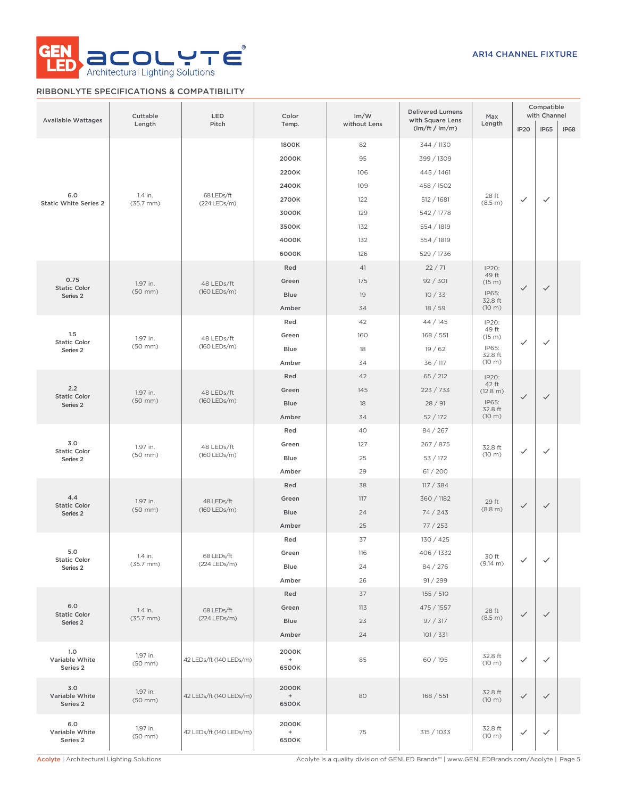

### RIBBONLYTE SPECIFICATIONS & COMPATIBILITY

| <b>Available Wattages</b>                  | Cuttable<br>Length       | LED<br>Pitch               | Color<br>Temp.        | <b>Delivered Lumens</b><br>Im/W<br>with Square Lens<br>without Lens<br>(lm/ft / lm/m) |                                                                                         | Max<br>Length              | IP <sub>20</sub> | Compatible<br>with Channel<br><b>IP65</b> | <b>IP68</b> |  |
|--------------------------------------------|--------------------------|----------------------------|-----------------------|---------------------------------------------------------------------------------------|-----------------------------------------------------------------------------------------|----------------------------|------------------|-------------------------------------------|-------------|--|
|                                            |                          |                            | 1800K                 | 82                                                                                    | 344 / 1130                                                                              |                            |                  |                                           |             |  |
|                                            |                          |                            | 2000K                 | 95                                                                                    | 399 / 1309                                                                              |                            |                  |                                           |             |  |
|                                            |                          |                            | 2200K                 | 106                                                                                   | 445 / 1461                                                                              |                            |                  |                                           |             |  |
|                                            |                          |                            | 2400K                 | 109                                                                                   | 458 / 1502                                                                              |                            |                  |                                           |             |  |
| 6.0                                        | 1.4 in.                  | 68 LEDs/ft                 | 2700K                 | 122                                                                                   | 512 / 1681                                                                              | 28 ft                      | $\checkmark$     | $\checkmark$                              |             |  |
| <b>Static White Series 2</b>               | $(35.7 \, \text{mm})$    | (224 LEDs/m)               | 3000K                 | 129                                                                                   |                                                                                         | (8.5 m)                    |                  |                                           |             |  |
|                                            |                          |                            |                       |                                                                                       | 542 / 1778                                                                              |                            |                  |                                           |             |  |
|                                            |                          |                            | 3500K                 | 132                                                                                   | 554 / 1819                                                                              |                            |                  |                                           |             |  |
|                                            |                          |                            | 4000K                 | 132                                                                                   | 554 / 1819                                                                              |                            |                  |                                           |             |  |
|                                            |                          |                            | 6000K                 | 126                                                                                   | 529 / 1736                                                                              |                            |                  |                                           |             |  |
| 0.75                                       |                          |                            | Red                   | 41                                                                                    | 22/71                                                                                   | IP20:<br>49 ft             |                  |                                           |             |  |
| <b>Static Color</b>                        | 1.97 in.<br>$(50$ mm $)$ | 48 LEDs/ft<br>(160 LEDs/m) | Green                 | 175                                                                                   | 92 / 301                                                                                | (15 m)                     | $\checkmark$     | $\checkmark$                              |             |  |
| Series <sub>2</sub>                        |                          |                            | Blue                  | 19                                                                                    | 10/33                                                                                   | IP65:<br>32.8 ft           |                  |                                           |             |  |
|                                            |                          |                            | Amber                 | 34                                                                                    | 18/59                                                                                   | (10 m)                     |                  |                                           |             |  |
|                                            |                          |                            | Red                   | 42                                                                                    | 44/145                                                                                  | IP20:<br>49 ft             |                  |                                           |             |  |
| 1.5<br><b>Static Color</b>                 | 1.97 in.                 | 48 LEDs/ft                 | Green                 | 160                                                                                   | 168 / 551                                                                               | (15 m)                     | $\checkmark$     | $\checkmark$                              |             |  |
| Series <sub>2</sub>                        | $(50$ mm $)$             | (160 LEDs/m)               | Blue                  | 18                                                                                    | 19/62                                                                                   | IP65:<br>32.8 ft           |                  |                                           |             |  |
|                                            |                          |                            | Amber                 | 34                                                                                    | 36 / 117                                                                                | (10 m)                     |                  |                                           |             |  |
|                                            |                          |                            | Red                   | 42                                                                                    | 65 / 212                                                                                | IP20:<br>42 ft             |                  |                                           |             |  |
| 2.2<br><b>Static Color</b>                 | 1.97 in.                 | 48 LEDs/ft                 | Green                 | 145                                                                                   | 223 / 733                                                                               | (12.8 m)                   | $\checkmark$     | $\checkmark$                              |             |  |
| Series <sub>2</sub>                        | $(50$ mm $)$             | (160 LEDs/m)               | Blue                  | 18                                                                                    | 28/91                                                                                   | IP65:<br>32.8 ft<br>(10 m) |                  |                                           |             |  |
|                                            |                          |                            | Amber                 | 34                                                                                    | 52/172                                                                                  |                            |                  |                                           |             |  |
|                                            |                          |                            | Red                   | 40                                                                                    | 84 / 267                                                                                |                            |                  |                                           |             |  |
| 3.0                                        | 1.97 in.                 | 48 LEDs/ft<br>(160 LEDs/m) |                       | Green                                                                                 | 127                                                                                     | 267 / 875                  | 32.8 ft          |                                           |             |  |
| <b>Static Color</b><br>Series <sub>2</sub> | $(50$ mm $)$             |                            | Blue                  | 25                                                                                    | 53/172                                                                                  | (10 m)                     | $\checkmark$     | $\checkmark$                              |             |  |
|                                            |                          |                            | Amber                 | 29                                                                                    | 61/200                                                                                  |                            |                  |                                           |             |  |
|                                            |                          |                            | Red                   | 38                                                                                    | 117 / 384                                                                               |                            |                  |                                           |             |  |
| 4.4                                        | 1.97 in.                 | 48 LEDs/ft                 | Green                 | 117                                                                                   | 360 / 1182                                                                              | 29 ft                      |                  |                                           |             |  |
| <b>Static Color</b><br>Series <sub>2</sub> | $(50$ mm $)$             | (160 LEDs/m)               | Blue                  | 24                                                                                    | 74/243                                                                                  | (8.8 m)                    | $\checkmark$     | $\checkmark$                              |             |  |
|                                            |                          |                            | Amber                 | 25                                                                                    | 77/253                                                                                  |                            |                  |                                           |             |  |
|                                            |                          |                            | Red                   | 37                                                                                    | 130 / 425                                                                               |                            |                  |                                           |             |  |
| 5.0                                        | 1.4 in.                  | 68 LEDs/ft                 | Green                 | 116                                                                                   | 406 / 1332                                                                              | 30 ft                      |                  |                                           |             |  |
| <b>Static Color</b><br>Series 2            | $(35.7$ mm $)$           | (224 LEDs/m)               | Blue                  | 24                                                                                    | 84 / 276                                                                                | (9.14 m)                   | $\checkmark$     | $\checkmark$                              |             |  |
|                                            |                          |                            | Amber                 | 26                                                                                    | 91 / 299                                                                                |                            |                  |                                           |             |  |
|                                            |                          |                            | Red                   | 37                                                                                    | 155 / 510                                                                               |                            |                  |                                           |             |  |
| 6.0                                        | 1.4 in.                  | 68 LEDs/ft                 | Green                 | 113                                                                                   | 475 / 1557                                                                              |                            |                  |                                           |             |  |
| <b>Static Color</b><br>Series 2            | $(35.7$ mm $)$           | (224 LEDs/m)               | <b>Blue</b>           | 23                                                                                    | 97 / 317                                                                                | 28 ft<br>(8.5 m)           | $\checkmark$     | $\checkmark$                              |             |  |
|                                            |                          |                            | Amber                 | 24                                                                                    | 101 / 331                                                                               |                            |                  |                                           |             |  |
|                                            |                          |                            |                       |                                                                                       |                                                                                         |                            |                  |                                           |             |  |
| 1.0<br>Variable White<br>Series 2          | 1.97 in.<br>$(50$ mm $)$ | 42 LEDs/ft (140 LEDs/m)    | 2000K<br>$+$<br>6500K | 85                                                                                    | 60/195                                                                                  | 32.8 ft<br>(10 m)          | $\checkmark$     | $\checkmark$                              |             |  |
| 3.0<br>Variable White<br>Series 2          | 1.97 in.<br>$(50$ mm $)$ | 42 LEDs/ft (140 LEDs/m)    | 2000K<br>$+$<br>6500K | 80                                                                                    | 168 / 551                                                                               | 32.8 ft<br>(10 m)          | $\checkmark$     | $\checkmark$                              |             |  |
| 6.0<br>Variable White<br>Series 2          | 1.97 in.<br>$(50$ mm $)$ | 42 LEDs/ft (140 LEDs/m)    | 2000K<br>$+$<br>6500K | 75                                                                                    | 315 / 1033                                                                              | 32.8 ft<br>(10 m)          | $\checkmark$     | $\checkmark$                              |             |  |
| Acolyte   Architectural Lighting Solutions |                          |                            |                       |                                                                                       | Acolyte is a quality division of GENLED Brands™   www.GENLEDBrands.com/Acolyte   Page 5 |                            |                  |                                           |             |  |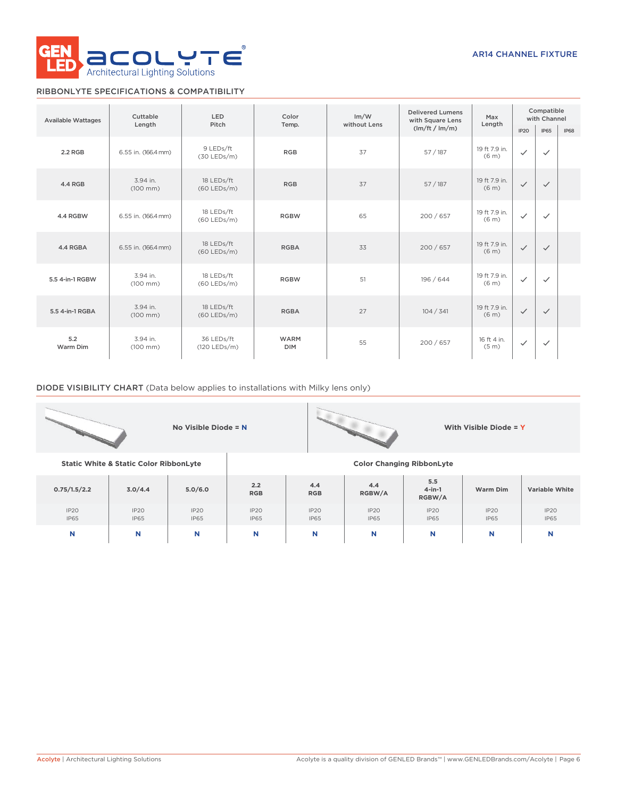

## RIBBONLYTE SPECIFICATIONS & COMPATIBILITY

| <b>Available Wattages</b> | Cuttable                         | LED                         | Color                     | Im/W         | <b>Delivered Lumens</b><br>with Square Lens | Max<br>Length                      | Compatible<br>with Channel |              |             |
|---------------------------|----------------------------------|-----------------------------|---------------------------|--------------|---------------------------------------------|------------------------------------|----------------------------|--------------|-------------|
|                           | Length                           | Pitch                       | Temp.                     | without Lens | (lm/ft / lm/m)                              |                                    | IP <sub>20</sub>           | <b>IP65</b>  | <b>IP68</b> |
| 2.2 RGB                   | 6.55 in. (166.4 mm)              | 9 LEDs/ft<br>$(30$ LEDs/m)  | <b>RGB</b>                | 37           | 57/187                                      | 19 ft 7.9 in.<br>(6 <sub>m</sub> ) | $\checkmark$               | $\checkmark$ |             |
| 4.4 RGB                   | 3.94 in.<br>$(100 \, \text{mm})$ | 18 LEDs/ft<br>$(60$ LEDs/m) | <b>RGB</b>                | 37           | 57/187                                      | 19 ft 7.9 in.<br>(6 <sub>m</sub> ) | $\checkmark$               | $\checkmark$ |             |
| 4.4 RGBW                  | 6.55 in. (166.4 mm)              | 18 LEDs/ft<br>$(60$ LEDs/m) | <b>RGBW</b>               | 65           | 200 / 657                                   | 19 ft 7.9 in.<br>(6 <sub>m</sub> ) | $\checkmark$               | $\checkmark$ |             |
| 4.4 RGBA                  | 6.55 in. (166.4 mm)              | 18 LEDs/ft<br>$(60$ LEDs/m) | <b>RGBA</b>               | 33           | 200/657                                     | 19 ft 7.9 in.<br>(6 <sub>m</sub> ) | $\checkmark$               | $\checkmark$ |             |
| 5.5 4-in-1 RGBW           | 3.94 in.<br>$(100 \, \text{mm})$ | 18 LEDs/ft<br>$(60$ LEDs/m) | <b>RGBW</b>               | 51           | 196 / 644                                   | 19 ft 7.9 in.<br>(6 <sub>m</sub> ) | $\checkmark$               | $\checkmark$ |             |
| 5.5 4-in-1 RGBA           | 3.94 in.<br>$(100 \, \text{mm})$ | 18 LEDs/ft<br>$(60$ LEDs/m) | <b>RGBA</b>               | 27           | 104 / 341                                   | 19 ft 7.9 in.<br>(6 <sub>m</sub> ) | $\checkmark$               | $\checkmark$ |             |
| 5.2<br>Warm Dim           | 3.94 in.<br>$(100 \, \text{mm})$ | 36 LEDs/ft<br>(120 LEDs/m)  | <b>WARM</b><br><b>DIM</b> | 55           | 200/657                                     | 16 ft 4 in.<br>(5 <sub>m</sub> )   | $\checkmark$               | $\checkmark$ |             |

### DIODE VISIBILITY CHART (Data below applies to installations with Milky lens only)

IP20 IP65 IP20 IP65

|                                                   |         | No Visible Diode = N |                   |                   | With Visible Diode = Y |                                  |          |                       |  |
|---------------------------------------------------|---------|----------------------|-------------------|-------------------|------------------------|----------------------------------|----------|-----------------------|--|
| <b>Static White &amp; Static Color RibbonLyte</b> |         |                      |                   |                   |                        | <b>Color Changing RibbonLyte</b> |          |                       |  |
| 0.75/1.5/2.2                                      | 3.0/4.4 | 5.0/6.0              | 2.2<br><b>RGB</b> | 4.4<br><b>RGB</b> | 4.4<br>RGBW/A          | 5.5<br>$4$ -in-1<br>RGBW/A       | Warm Dim | <b>Variable White</b> |  |

IP20 IP65

**N N N N N N N N N**

IP20 IP65

IP20 IP65

IP20 IP65 IP20 IP65

IP20 IP65 IP20 IP65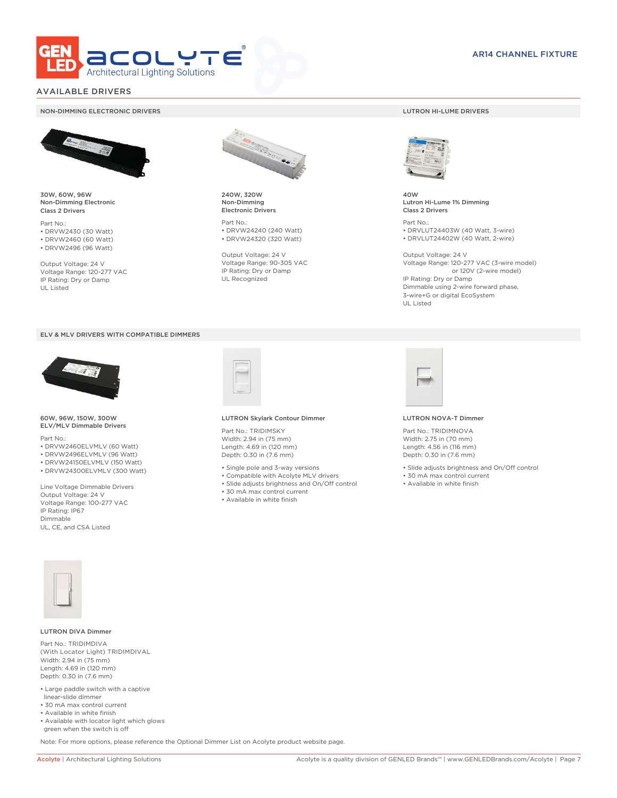

### AVAILABLE DRIVERS

#### NON-DIMMING ELECTRONIC DRIVERS LUTRON HI-LUME DRIVERS



30W, 60W, 96W Non-Dimming Electronic Class 2 Drivers

Part No.: • DRVW2430 (30 Watt) • DRVW2460 (60 Watt)

• DRVW2496 (96 Watt)

Output Voltage: 24 V Voltage Range: 120-277 VAC IP Rating: Dry or Damp UL Listed





60W, 96W, 150W, 300W ELV/MLV Dimmable Drivers

Part No.:

- DRVW2460ELVMLV (60 Watt)
- DRVW2496ELVMLV (96 Watt)
- DRVW24150ELVMLV (150 Watt)
- DRVW24300ELVMLV (300 Watt)

Line Voltage Dimmable Drivers Output Voltage: 24 V Voltage Range: 100-277 VAC IP Rating: IP67 Dimmable UL, CE, and CSA Listed



240W, 320W Non-Dimming Electronic Drivers

Part No.: • DRVW24240 (240 Watt) • DRVW24320 (320 Watt)

Output Voltage: 24 V Voltage Range: 90-305 VAC IP Rating: Dry or Damp UL Recognized



40W Lutron Hi-Lume 1% Dimming Class 2 Drivers

Part No.: • DRVLUT24403W (40 Watt, 3-wire) • DRVLUT24402W (40 Watt, 2-wire)

Output Voltage: 24 V Voltage Range: 120-277 VAC (3-wire model) or 120V (2-wire model) IP Rating: Dry or Damp Dimmable using 2-wire forward phase, 3-wire+G or digital EcoSystem UL Listed



#### LUTRON Skylark Contour Dimmer

Part No.: TRIDIMSKY Width: 2.94 in (75 mm) Length: 4.69 in (120 mm) Depth: 0.30 in (7.6 mm)

- Single pole and 3-way versions
- Compatible with Acolyte MLV drivers
- Slide adjusts brightness and On/Off control
- 30 mA max control current
- Available in white finish



#### LUTRON NOVA-T Dimmer

Part No.: TRIDIMNOVA Width: 2.75 in (70 mm) Length: 4.56 in (116 mm) Depth: 0.30 in (7.6 mm)

- Slide adjusts brightness and On/Off control
- 30 mA max control current
- Available in white finish



#### LUTRON DIVA Dimmer

Part No.: TRIDIMDIVA (With Locator Light) TRIDIMDIVAL Width: 2.94 in (75 mm) Length: 4.69 in (120 mm) Depth: 0.30 in (7.6 mm)

- Large paddle switch with a captive linear-slide dimmer
- 30 mA max control current
- Available in white finish
- Available with locator light which glows green when the switch is off

Note: For more options, please reference the Optional Dimmer List on Acolyte product website page.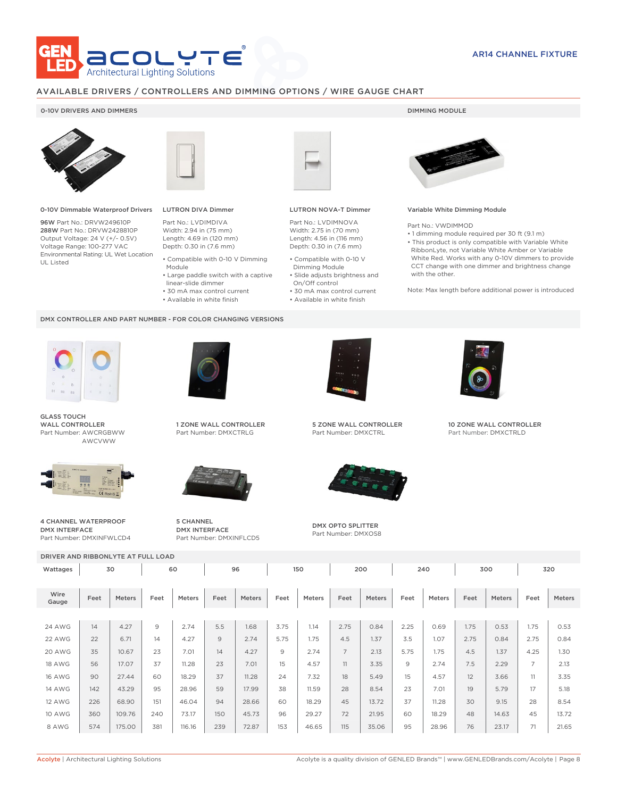

### AVAILABLE DRIVERS / CONTROLLERS AND DIMMING OPTIONS / WIRE GAUGE CHART

### 0-10V DRIVERS AND DIMMERS **DIMMING MODULE**



0-10V Dimmable Waterproof Drivers

96W Part No.: DRVW249610P 288W Part No.: DRVW2428810P Output Voltage: 24 V (+/- 0.5V) Voltage Range: 100-277 VAC Environmental Rating: UL Wet Location UL Listed



## LUTRON DIVA Dimmer

Part No.: LVDIMDIVA Width: 2.94 in (75 mm) Length: 4.69 in (120 mm) Depth: 0.30 in (7.6 mm)

- Compatible with 0-10 V Dimming Module
- Large paddle switch with a captive
- linear-slide dimmer
- 30 mA max control current
- Available in white finish

#### DMX CONTROLLER AND PART NUMBER - FOR COLOR CHANGING VERSIONS



GLASS TOUCH WALL CONTROLLER Part Number: AWCRGBWW AWCVWW



4 CHANNEL WATERPROOF DMX INTERFACE Part Number: DMXINFWLCD4



1 ZONE WALL CONTROLLER Part Number: DMXCTRLG



5 CHANNEL DMX INTERFACE Part Number: DMXINFLCD5



### LUTRON NOVA-T Dimmer

Part No.: LVDIMNOVA Width: 2.75 in (70 mm) Length: 4.56 in (116 mm) Depth: 0.30 in (7.6 mm)

- Compatible with 0-10 V Dimming Module
- Slide adjusts brightness and On/Off control
- 30 mA max control current • Available in white finish



### Variable White Dimming Module

Part No.: VWDIMMOD

• 1 dimming module required per 30 ft (9.1 m) • This product is only compatible with Variable White RibbonLyte, not Variable White Amber or Variable White Red. Works with any 0-10V dimmers to provide CCT change with one dimmer and brightness change with the other.

Note: Max length before additional power is introduced



5 ZONE WALL CONTROLLER Part Number: DMXCTRL



DMX OPTO SPLITTER Part Number: DMXOS8



10 ZONE WALL CONTROLLER Part Number: DMXCTRLD

DRIVER AND RIBBONLYTE AT FULL LOAD Wattages 30 | 60 | 96 | 150 | 200 | 240 | 300 | 320 Wire Gauge Feet Meters Feet Meters Feet Meters Feet Meters Feet Meters Feet Meters Feet Meters Feet Meters 24 AWG | 14 | 4.27 | 9 | 2.74 | 5.5 | 1.68 | 3.75 | 1.14 | 2.75 | 0.84 | 2.25 | 0.69 | 1.75 | 0.53 | 1.75 | 0.53 22 AWG | 22 | 6.71 | 14 | 4.27 | 9 | 2.74 | 5.75 | 1.75 | 4.5 | 1.37 | 3.5 | 1.07 | 2.75 | 0.84 | 2.75 | 0.84 20 AWG | 35 | 10.67 | 23 | 7.01 | 14 | 4.27 | 9 | 2.74 | 7 | 2.13 | 5.75 | 1.75 | 4.5 | 1.37 | 4.25 | 1.30 18 AWG | 56 | 17.07 | 37 | 11.28 | 23 | 7.01 | 15 | 4.57 | 11 | 3.35 | 9 | 2.74 | 7.5 | 2.29 | 7 | 2.13 16 AWG | 90 | 27.44 | 60 | 18.29 | 37 | 11.28 | 24 | 7.32 | 18 | 5.49 | 15 | 4.57 | 12 | 3.66 | 11 | 3.35 14 AWG | 142 | 43.29 | 95 | 28.96 | 59 | 17.99 | 38 | 11.59 | 28 | 8.54 | 23 | 7.01 | 19 | 5.79 | 17 | 5.18 12 AWG | 226 | 68.90 | 151 | 46.04 | 94 | 28.66 | 60 | 18.29 | 45 | 13.72 | 37 | 11.28 | 30 | 9.15 | 28 | 8.54 10 AWG | 360 | 109.76 | 240 | 73.17 | 150 | 45.73 | 96 | 29.27 | 72 | 21.95 | 60 | 18.29 | 48 | 14.63 | 45 | 13.72 8 AWG | 574 | 175.00 | 381 | 116.16 | 239 | 72.87 | 153 | 46.65 | 115 | 35.06 | 95 | 28.96 | 76 | 23.17 | 71 | 21.65